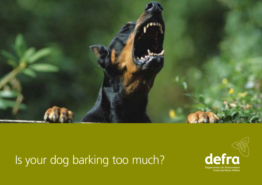

# Is your dog barking too much?

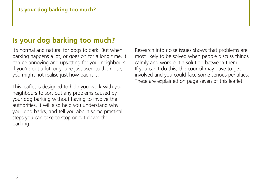# **Is your dog barking too much?**

It's normal and natural for dogs to bark. But when barking happens a lot, or goes on for a long time, it can be annoying and upsetting for your neighbours. If you're out a lot, or you're just used to the noise, you might not realise just how bad it is.

This leaflet is designed to help you work with your neighbours to sort out any problems caused by your dog barking without having to involve the authorities. It will also help you understand why your dog barks, and tell you about some practical steps you can take to stop or cut down the barking.

Research into noise issues shows that problems are most likely to be solved when people discuss things calmly and work out a solution between them. If you can't do this, the council may have to get involved and you could face some serious penalties. These are explained on page seven of this leaflet.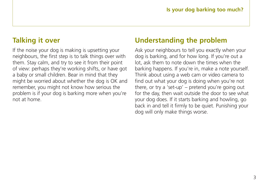# **Talking it over**

If the noise your dog is making is upsetting your neighbours, the first step is to talk things over with them. Stay calm, and try to see it from their point of view: perhaps they're working shifts, or have got a baby or small children. Bear in mind that they might be worried about whether the dog is OK and remember, you might not know how serious the problem is if your dog is barking more when you're not at home.

# **Understanding the problem**

Ask your neighbours to tell you exactly when your dog is barking, and for how long. If you're out a lot, ask them to note down the times when the barking happens. If you're in, make a note yourself. Think about using a web cam or video camera to find out what your dog is doing when you're not there, or try a 'set-up' – pretend you're going out for the day, then wait outside the door to see what your dog does. If it starts barking and howling, go back in and tell it firmly to be quiet. Punishing your dog will only make things worse.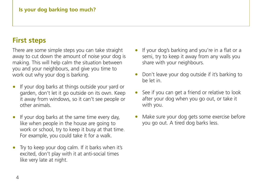#### **Is your dog barking too much?**

## **First steps**

There are some simple steps you can take straight away to cut down the amount of noise your dog is making. This will help calm the situation between you and your neighbours, and give you time to work out why your dog is barking.

- If your dog barks at things outside your yard or garden, don't let it go outside on its own. Keep it away from windows, so it can't see people or other animals.
- If your dog barks at the same time every day, like when people in the house are going to work or school, try to keep it busy at that time. For example, you could take it for a walk.
- Try to keep your dog calm. If it barks when it's excited, don't play with it at anti-social times like very late at night.
- If your dog's barking and you're in a flat or a semi, try to keep it away from any walls you share with your neighbours.
- Don't leave your dog outside if it's barking to be let in.
- See if you can get a friend or relative to look after your dog when you go out, or take it with you.
- Make sure your dog gets some exercise before you go out. A tired dog barks less.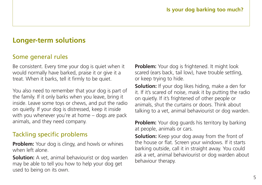## **Longer-term solutions**

#### Some general rules

Be consistent. Every time your dog is quiet when it would normally have barked, praise it or give it a treat. When it barks, tell it firmly to be quiet.

You also need to remember that your dog is part of the family. If it only barks when you leave, bring it inside. Leave some toys or chews, and put the radio on quietly. If your dog is distressed, keep it inside with you whenever you're at home – dogs are pack animals, and they need company.

### Tackling specific problems

**Problem:** Your dog is clingy, and howls or whines when left alone.

**Solution:** A vet, animal behaviourist or dog warden may be able to tell you how to help your dog get used to being on its own.

**Problem:** Your dog is frightened. It might look scared (ears back, tail low), have trouble settling, or keep trying to hide.

**Solution:** If your dog likes hiding, make a den for it. If it's scared of noise, mask it by putting the radio on quietly. If it's frightened of other people or animals, shut the curtains or doors. Think about talking to a vet, animal behaviourist or dog warden.

**Problem:** Your dog guards his territory by barking at people, animals or cars.

**Solution:** Keep your dog away from the front of the house or flat. Screen your windows. If it starts barking outside, call it in straight away. You could ask a vet, animal behaviourist or dog warden about behaviour therapy.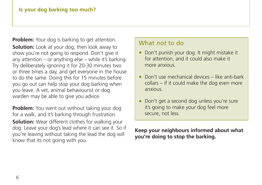**Problem:** Your dog is barking to get attention. **Solution:** Look at your dog, then look away to show you're not going to respond. Don't give it any attention  $-$  or anything else  $-$  while it's barking. Try deliberately ignoring it for 20-30 minutes two or three times a day, and get everyone in the house to do the same. Doing this for 15 minutes before you go out can help stop your dog barking when you leave. A vet, animal behaviourist or dog warden may be able to give you advice.

**Problem:** You went out without taking your dog for a walk, and it's barking through frustration. **Solution:** Wear different clothes for walking your dog. Leave your dog's lead where it can see it. So if you're leaving without taking the lead the dog will know that its not going with you.

#### What *not* to do

- Don't punish your dog. It might mistake it for attention, and it could also make it more anxious.
- Don't use mechanical devices like anti-bark collars – if it could make the dog even more anxious.
- Don't get a second dog unless you're sure it's going to make your dog feel more secure, not less.

**Keep your neighbours informed about what you're doing to stop the barking.**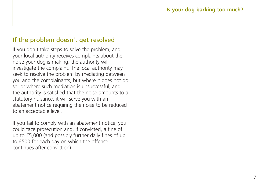## If the problem doesn't get resolved

If you don't take steps to solve the problem, and your local authority receives complaints about the noise your dog is making, the authority will investigate the complaint. The local authority may seek to resolve the problem by mediating between you and the complainants, but where it does not do so, or where such mediation is unsuccessful, and the authority is satisfied that the noise amounts to a statutory nuisance, it will serve you with an abatement notice requiring the noise to be reduced to an acceptable level.

If you fail to comply with an abatement notice, you could face prosecution and, if convicted, a fine of up to £5,000 (and possibly further daily fines of up to £500 for each day on which the offence continues after conviction).